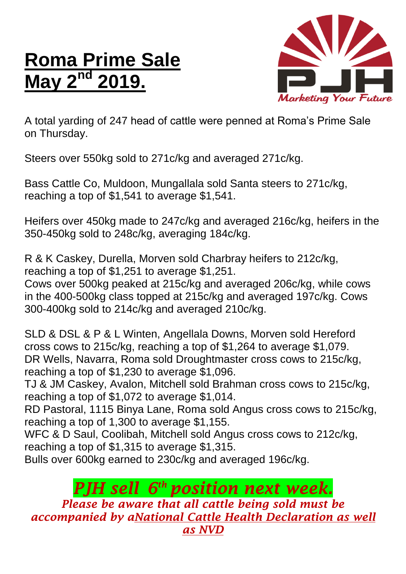## **Roma Prime Sale May 2nd 2019.**



A total yarding of 247 head of cattle were penned at Roma's Prime Sale on Thursday.

Steers over 550kg sold to 271c/kg and averaged 271c/kg.

Bass Cattle Co, Muldoon, Mungallala sold Santa steers to 271c/kg, reaching a top of \$1,541 to average \$1,541.

Heifers over 450kg made to 247c/kg and averaged 216c/kg, heifers in the 350-450kg sold to 248c/kg, averaging 184c/kg.

R & K Caskey, Durella, Morven sold Charbray heifers to 212c/kg, reaching a top of \$1,251 to average \$1,251.

Cows over 500kg peaked at 215c/kg and averaged 206c/kg, while cows in the 400-500kg class topped at 215c/kg and averaged 197c/kg. Cows 300-400kg sold to 214c/kg and averaged 210c/kg.

SLD & DSL & P & L Winten, Angellala Downs, Morven sold Hereford cross cows to 215c/kg, reaching a top of \$1,264 to average \$1,079. DR Wells, Navarra, Roma sold Droughtmaster cross cows to 215c/kg, reaching a top of \$1,230 to average \$1,096.

TJ & JM Caskey, Avalon, Mitchell sold Brahman cross cows to 215c/kg, reaching a top of \$1,072 to average \$1,014.

RD Pastoral, 1115 Binya Lane, Roma sold Angus cross cows to 215c/kg, reaching a top of 1,300 to average \$1,155.

WFC & D Saul, Coolibah, Mitchell sold Angus cross cows to 212c/kg, reaching a top of \$1,315 to average \$1,315.

Bulls over 600kg earned to 230c/kg and averaged 196c/kg.

## *PJH sell 6 th position next week.*

*Please be aware that all cattle being sold must be accompanied by aNational Cattle Health Declaration as well as NVD*